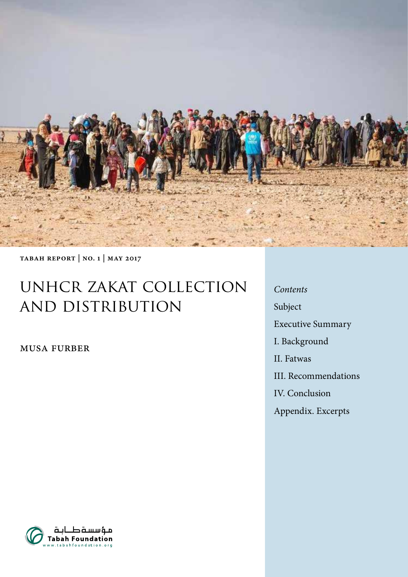

Tabah Report | no. 1 | May 2017

# UNHCR zakat collection and distribution

Musa Furber

*Contents* Subject Executive Summary I. Background II. Fatwas III. Recommendations IV. Conclusion Appendix. Excerpts

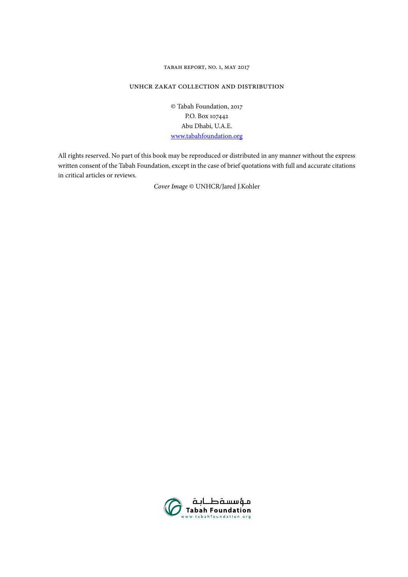#### Tabah Report, no. 1, May 2017

#### UNHCR Zakat Collection and Distribution

© Tabah Foundation, 2017 P.O. Box 107442 Abu Dhabi, U.A.E. www.tabahfoundation.org

All rights reserved. No part of this book may be reproduced or distributed in any manner without the express written consent of the Tabah Foundation, except in the case of brief quotations with full and accurate citations in critical articles or reviews.

*Cover Image* © UNHCR/Jared J.Kohler

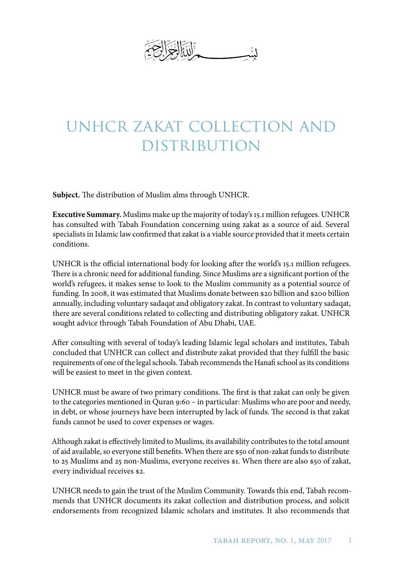# UNHCR zakat Collection and **DISTRIBUTION**

**Subject.** The distribution of Muslim alms through UNHCR.

**Executive Summary.** Muslims make up the majority of today's 15.1 million refugees. UNHCR has consulted with Tabah Foundation concerning using zakat as a source of aid. Several specialists in Islamic law confirmed that zakat is a viable source provided that it meets certain conditions.

UNHCR is the official international body for looking after the world's 15.1 million refugees. There is a chronic need for additional funding. Since Muslims are a significant portion of the world's refugees, it makes sense to look to the Muslim community as a potential source of funding. In 2008, it was estimated that Muslims donate between \$20 billion and \$200 billion annually, including voluntary sadaqat and obligatory zakat. In contrast to voluntary sadaqat, there are several conditions related to collecting and distributing obligatory zakat. UNHCR sought advice through Tabah Foundation of Abu Dhabi, UAE.

After consulting with several of today's leading Islamic legal scholars and institutes, Tabah concluded that UNHCR can collect and distribute zakat provided that they fulfill the basic requirements of one of the legal schools. Tabah recommends the Hanafi school as its conditions will be easiest to meet in the given context.

UNHCR must be aware of two primary conditions. The first is that zakat can only be given to the categories mentioned in Quran 9:60 – in particular: Muslims who are poor and needy, in debt, or whose journeys have been interrupted by lack of funds. The second is that zakat funds cannot be used to cover expenses or wages.

Although zakat is effectively limited to Muslims, its availability contributes to the total amount of aid available, so everyone still benefits. When there are \$50 of non-zakat funds to distribute to 25 Muslims and 25 non-Muslims, everyone receives \$1. When there are also \$50 of zakat, every individual receives \$2.

UNHCR needs to gain the trust of the Muslim Community. Towards this end, Tabah recommends that UNHCR documents its zakat collection and distribution process, and solicit endorsements from recognized Islamic scholars and institutes. It also recommends that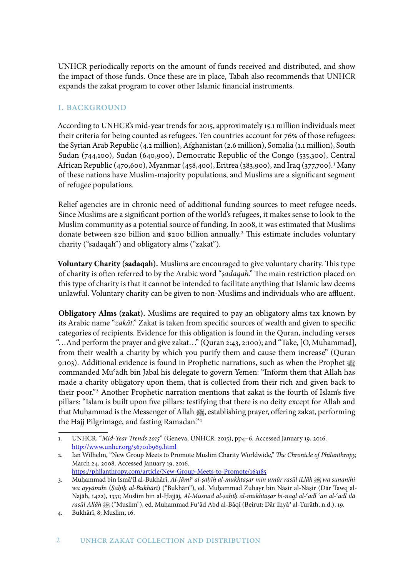UNHCR periodically reports on the amount of funds received and distributed, and show the impact of those funds. Once these are in place, Tabah also recommends that UNHCR expands the zakat program to cover other Islamic financial instruments.

#### I. Background

According to UNHCR's mid-year trends for 2015, approximately 15.1 million individuals meet their criteria for being counted as refugees. Ten countries account for 76% of those refugees: the Syrian Arab Republic (4.2 million), Afghanistan (2.6 million), Somalia (1.1 million), South Sudan (744,100), Sudan (640,900), Democratic Republic of the Congo (535,300), Central African Republic (470,600), Myanmar (458,400), Eritrea (383,900), and Iraq (377,700).<sup>1</sup> Many of these nations have Muslim-majority populations, and Muslims are a significant segment of refugee populations.

Relief agencies are in chronic need of additional funding sources to meet refugee needs. Since Muslims are a significant portion of the world's refugees, it makes sense to look to the Muslim community as a potential source of funding. In 2008, it was estimated that Muslims donate between \$20 billion and \$200 billion annually.2 This estimate includes voluntary charity ("sadaqah") and obligatory alms ("zakat").

**Voluntary Charity (sadaqah).** Muslims are encouraged to give voluntary charity. This type of charity is often referred to by the Arabic word "*ṣadaqah*." The main restriction placed on this type of charity is that it cannot be intended to facilitate anything that Islamic law deems unlawful. Voluntary charity can be given to non-Muslims and individuals who are affluent.

**Obligatory Alms (zakat).** Muslims are required to pay an obligatory alms tax known by its Arabic name "*zakāt*." Zakat is taken from specific sources of wealth and given to specific categories of recipients. Evidence for this obligation is found in the Quran, including verses "…And perform the prayer and give zakat…" (Quran 2:43, 2:100); and "Take, [O, Muhammad], from their wealth a charity by which you purify them and cause them increase" (Quran 9:103). Additional evidence is found in Prophetic narrations, such as when the Prophet 2 commanded Muʿādh bin Jabal his delegate to govern Yemen: "Inform them that Allah has made a charity obligatory upon them, that is collected from their rich and given back to their poor."3 Another Prophetic narration mentions that zakat is the fourth of Islam's five pillars: "Islam is built upon five pillars: testifying that there is no deity except for Allah and that Muḥammad is the Messenger of Allah <a>sextablishing prayer, offering zakat, performing the Hajj Pilgrimage, and fasting Ramadan."4

<sup>1.</sup> UNHCR, "*Mid-Year Trends 2015*" (Geneva, UNHCR: 2015), pp4–6. Accessed January 19, 2016. http://www.unhcr.org/56701b969.html

<sup>2.</sup> Ian Wilhelm, "New Group Meets to Promote Muslim Charity Worldwide," *The Chronicle of Philanthropy,* March 24, 2008. Accessed January 19, 2016. https://philanthropy.com/article/New-Group-Meets-to-Promote/163185

<sup>3.</sup> Muḥammad bin Ismāʿīl al-Bukhārī, *Al-Jāmiʿ al-ṣaḥīḥ al-mukhtaṣar min umūr rasūl iLlāh* صلى الله عليه وسلم *wa sunanihi wa ayyāmih*i (*Ṣaḥīḥ al-Bukhārī*) ("Bukhārī"), ed. Muḥammad Zuhayr bin Nāsir al-Nāṣir (Dār Tawq al-Najāh, 1422), 1331; Muslim bin al-Ḥajjāj, *Al-Musnad al-ṣaḥīḥ al-mukhtaṣar bi-naql al-ʿadl ʿan al-ʿadl ilā rasūl Allāh* ("Muslim"), ed. Muḥammad Fu'ād Abd al-Bāqī (Beirut: Dār Iḥyā' al-Turāth, n.d.), 19.

<sup>4.</sup> Bukhārī, 8; Muslim, 16.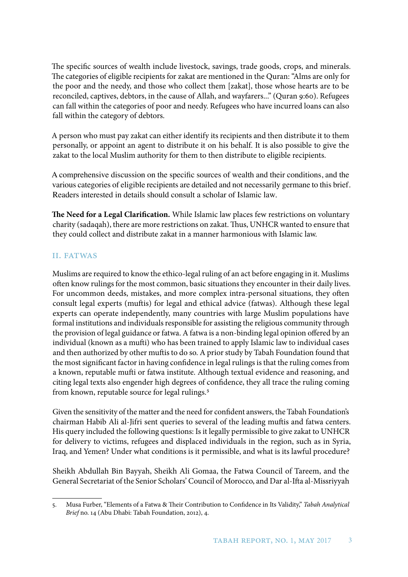The specific sources of wealth include livestock, savings, trade goods, crops, and minerals. The categories of eligible recipients for zakat are mentioned in the Quran: "Alms are only for the poor and the needy, and those who collect them [zakat], those whose hearts are to be reconciled, captives, debtors, in the cause of Allah, and wayfarers..." (Quran 9:60). Refugees can fall within the categories of poor and needy. Refugees who have incurred loans can also fall within the category of debtors.

A person who must pay zakat can either identify its recipients and then distribute it to them personally, or appoint an agent to distribute it on his behalf. It is also possible to give the zakat to the local Muslim authority for them to then distribute to eligible recipients.

A comprehensive discussion on the specific sources of wealth and their conditions, and the various categories of eligible recipients are detailed and not necessarily germane to this brief. Readers interested in details should consult a scholar of Islamic law.

**The Need for a Legal Clarification.** While Islamic law places few restrictions on voluntary charity (sadaqah), there are more restrictions on zakat. Thus, UNHCR wanted to ensure that they could collect and distribute zakat in a manner harmonious with Islamic law.

#### II. FATWAS

Muslims are required to know the ethico-legal ruling of an act before engaging in it. Muslims often know rulings for the most common, basic situations they encounter in their daily lives. For uncommon deeds, mistakes, and more complex intra-personal situations, they often consult legal experts (muftis) for legal and ethical advice (fatwas). Although these legal experts can operate independently, many countries with large Muslim populations have formal institutions and individuals responsible for assisting the religious community through the provision of legal guidance or fatwa. A fatwa is a non-binding legal opinion offered by an individual (known as a mufti) who has been trained to apply Islamic law to individual cases and then authorized by other muftis to do so. A prior study by Tabah Foundation found that the most significant factor in having confidence in legal rulings is that the ruling comes from a known, reputable mufti or fatwa institute. Although textual evidence and reasoning, and citing legal texts also engender high degrees of confidence, they all trace the ruling coming from known, reputable source for legal rulings.5

Given the sensitivity of the matter and the need for confident answers, the Tabah Foundation's chairman Habib Ali al-Jifri sent queries to several of the leading muftis and fatwa centers. His query included the following questions: Is it legally permissible to give zakat to UNHCR for delivery to victims, refugees and displaced individuals in the region, such as in Syria, Iraq, and Yemen? Under what conditions is it permissible, and what is its lawful procedure?

Sheikh Abdullah Bin Bayyah, Sheikh Ali Gomaa, the Fatwa Council of Tareem, and the General Secretariat of the Senior Scholars' Council of Morocco, and Dar al-Ifta al-Missriyyah

<sup>5.</sup> Musa Furber, "Elements of a Fatwa & Their Contribution to Confidence in Its Validity," *Tabah Analytical Brief* no. 14 (Abu Dhabi: Tabah Foundation, 2012), 4.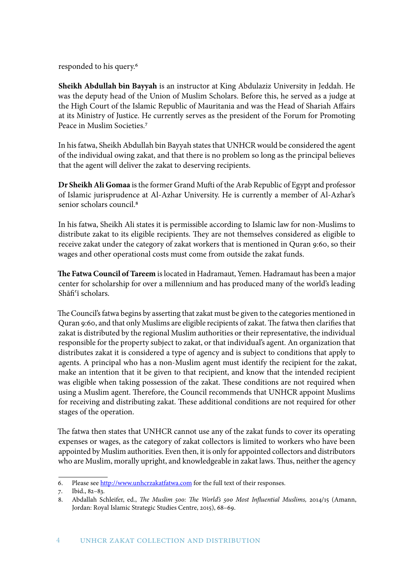responded to his query.6

**Sheikh Abdullah bin Bayyah** is an instructor at King Abdulaziz University in Jeddah. He was the deputy head of the Union of Muslim Scholars. Before this, he served as a judge at the High Court of the Islamic Republic of Mauritania and was the Head of Shariah Affairs at its Ministry of Justice. He currently serves as the president of the Forum for Promoting Peace in Muslim Societies.7

In his fatwa, Sheikh Abdullah bin Bayyah states that UNHCR would be considered the agent of the individual owing zakat, and that there is no problem so long as the principal believes that the agent will deliver the zakat to deserving recipients.

**Dr Sheikh Ali Gomaa** is the former Grand Mufti of the Arab Republic of Egypt and professor of Islamic jurisprudence at Al-Azhar University. He is currently a member of Al-Azhar's senior scholars council.<sup>8</sup>

In his fatwa, Sheikh Ali states it is permissible according to Islamic law for non-Muslims to distribute zakat to its eligible recipients. They are not themselves considered as eligible to receive zakat under the category of zakat workers that is mentioned in Quran 9:60, so their wages and other operational costs must come from outside the zakat funds.

**The Fatwa Council of Tareem** is located in Hadramaut, Yemen. Hadramaut has been a major center for scholarship for over a millennium and has produced many of the world's leading Shāfi<sup>c</sup>ī scholars.

The Council's fatwa begins by asserting that zakat must be given to the categories mentioned in Quran 9:60, and that only Muslims are eligible recipients of zakat. The fatwa then clarifies that zakat is distributed by the regional Muslim authorities or their representative, the individual responsible for the property subject to zakat, or that individual's agent. An organization that distributes zakat it is considered a type of agency and is subject to conditions that apply to agents. A principal who has a non-Muslim agent must identify the recipient for the zakat, make an intention that it be given to that recipient, and know that the intended recipient was eligible when taking possession of the zakat. These conditions are not required when using a Muslim agent. Therefore, the Council recommends that UNHCR appoint Muslims for receiving and distributing zakat. These additional conditions are not required for other stages of the operation.

The fatwa then states that UNHCR cannot use any of the zakat funds to cover its operating expenses or wages, as the category of zakat collectors is limited to workers who have been appointed by Muslim authorities. Even then, it is only for appointed collectors and distributors who are Muslim, morally upright, and knowledgeable in zakat laws. Thus, neither the agency

<sup>6.</sup> Please see http://www.unhcrzakatfatwa.com for the full text of their responses.

<sup>7.</sup> Ibid., 82–83.

<sup>8.</sup> Abdallah Schleifer, ed., *The Muslim 500: The World's 500 Most Influential Muslims,* 2014/15 (Amann, Jordan: Royal Islamic Strategic Studies Centre, 2015), 68–69.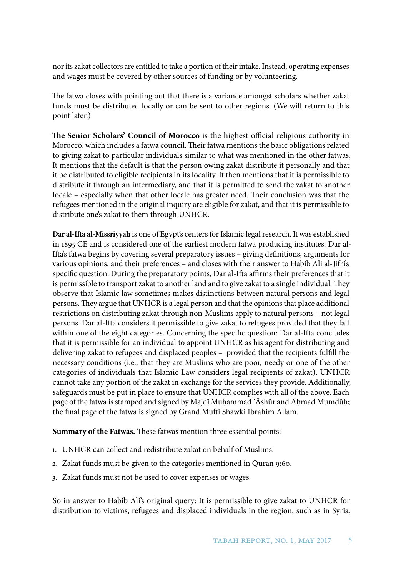nor its zakat collectors are entitled to take a portion of their intake. Instead, operating expenses and wages must be covered by other sources of funding or by volunteering.

The fatwa closes with pointing out that there is a variance amongst scholars whether zakat funds must be distributed locally or can be sent to other regions. (We will return to this point later.)

**The Senior Scholars' Council of Morocco** is the highest official religious authority in Morocco, which includes a fatwa council. Their fatwa mentions the basic obligations related to giving zakat to particular individuals similar to what was mentioned in the other fatwas. It mentions that the default is that the person owing zakat distribute it personally and that it be distributed to eligible recipients in its locality. It then mentions that it is permissible to distribute it through an intermediary, and that it is permitted to send the zakat to another locale – especially when that other locale has greater need. Their conclusion was that the refugees mentioned in the original inquiry are eligible for zakat, and that it is permissible to distribute one's zakat to them through UNHCR.

**Dar al-Ifta al-Missriyyah** is one of Egypt's centers for Islamic legal research. It was established in 1895 CE and is considered one of the earliest modern fatwa producing institutes. Dar al-Ifta's fatwa begins by covering several preparatory issues – giving definitions, arguments for various opinions, and their preferences – and closes with their answer to Habib Ali al-Jifri's specific question. During the preparatory points, Dar al-Ifta affirms their preferences that it is permissible to transport zakat to another land and to give zakat to a single individual. They observe that Islamic law sometimes makes distinctions between natural persons and legal persons. They argue that UNHCR is a legal person and that the opinions that place additional restrictions on distributing zakat through non-Muslims apply to natural persons – not legal persons. Dar al-Ifta considers it permissible to give zakat to refugees provided that they fall within one of the eight categories. Concerning the specific question: Dar al-Ifta concludes that it is permissible for an individual to appoint UNHCR as his agent for distributing and delivering zakat to refugees and displaced peoples – provided that the recipients fulfill the necessary conditions (i.e., that they are Muslims who are poor, needy or one of the other categories of individuals that Islamic Law considers legal recipients of zakat). UNHCR cannot take any portion of the zakat in exchange for the services they provide. Additionally, safeguards must be put in place to ensure that UNHCR complies with all of the above. Each page of the fatwa is stamped and signed by Majdī Muḥammad ʿĀshūr and Aḥmad Mumdūḥ; the final page of the fatwa is signed by Grand Mufti Shawki Ibrahim Allam.

**Summary of the Fatwas.** These fatwas mention three essential points:

- 1. UNHCR can collect and redistribute zakat on behalf of Muslims.
- 2. Zakat funds must be given to the categories mentioned in Quran 9:60.
- 3. Zakat funds must not be used to cover expenses or wages.

So in answer to Habib Ali's original query: It is permissible to give zakat to UNHCR for distribution to victims, refugees and displaced individuals in the region, such as in Syria,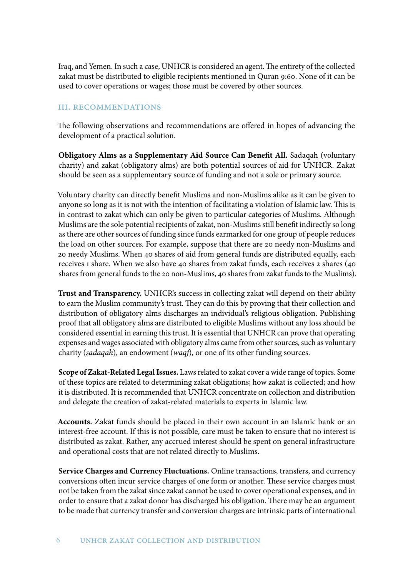Iraq, and Yemen. In such a case, UNHCR is considered an agent. The entirety of the collected zakat must be distributed to eligible recipients mentioned in Quran 9:60. None of it can be used to cover operations or wages; those must be covered by other sources.

#### III. Recommendations

The following observations and recommendations are offered in hopes of advancing the development of a practical solution.

**Obligatory Alms as a Supplementary Aid Source Can Benefit All.** Sadaqah (voluntary charity) and zakat (obligatory alms) are both potential sources of aid for UNHCR. Zakat should be seen as a supplementary source of funding and not a sole or primary source.

Voluntary charity can directly benefit Muslims and non-Muslims alike as it can be given to anyone so long as it is not with the intention of facilitating a violation of Islamic law. This is in contrast to zakat which can only be given to particular categories of Muslims. Although Muslims are the sole potential recipients of zakat, non-Muslims still benefit indirectly so long as there are other sources of funding since funds earmarked for one group of people reduces the load on other sources. For example, suppose that there are 20 needy non-Muslims and 20 needy Muslims. When 40 shares of aid from general funds are distributed equally, each receives 1 share. When we also have 40 shares from zakat funds, each receives 2 shares (40 shares from general funds to the 20 non-Muslims, 40 shares from zakat funds to the Muslims).

**Trust and Transparency.** UNHCR's success in collecting zakat will depend on their ability to earn the Muslim community's trust. They can do this by proving that their collection and distribution of obligatory alms discharges an individual's religious obligation. Publishing proof that all obligatory alms are distributed to eligible Muslims without any loss should be considered essential in earning this trust. It is essential that UNHCR can prove that operating expenses and wages associated with obligatory alms came from other sources, such as voluntary charity (*ṣadaqah*), an endowment (*waqf*), or one of its other funding sources.

**Scope of Zakat-Related Legal Issues.** Laws related to zakat cover a wide range of topics. Some of these topics are related to determining zakat obligations; how zakat is collected; and how it is distributed. It is recommended that UNHCR concentrate on collection and distribution and delegate the creation of zakat-related materials to experts in Islamic law.

**Accounts.** Zakat funds should be placed in their own account in an Islamic bank or an interest-free account. If this is not possible, care must be taken to ensure that no interest is distributed as zakat. Rather, any accrued interest should be spent on general infrastructure and operational costs that are not related directly to Muslims.

**Service Charges and Currency Fluctuations.** Online transactions, transfers, and currency conversions often incur service charges of one form or another. These service charges must not be taken from the zakat since zakat cannot be used to cover operational expenses, and in order to ensure that a zakat donor has discharged his obligation. There may be an argument to be made that currency transfer and conversion charges are intrinsic parts of international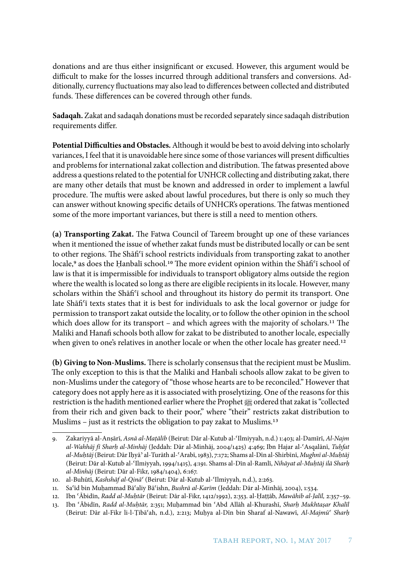donations and are thus either insignificant or excused. However, this argument would be difficult to make for the losses incurred through additional transfers and conversions. Additionally, currency fluctuations may also lead to differences between collected and distributed funds. These differences can be covered through other funds.

**Sadaqah.** Zakat and sadaqah donations must be recorded separately since sadaqah distribution requirements differ.

**Potential Difficulties and Obstacles.** Although it would be best to avoid delving into scholarly variances, I feel that it is unavoidable here since some of those variances will present difficulties and problems for international zakat collection and distribution. The fatwas presented above address a questions related to the potential for UNHCR collecting and distributing zakat, there are many other details that must be known and addressed in order to implement a lawful procedure. The muftis were asked about lawful procedures, but there is only so much they can answer without knowing specific details of UNHCR's operations. The fatwas mentioned some of the more important variances, but there is still a need to mention others.

**(a) Transporting Zakat.** The Fatwa Council of Tareem brought up one of these variances when it mentioned the issue of whether zakat funds must be distributed locally or can be sent to other regions. The Shāfiʿī school restricts individuals from transporting zakat to another locale,<sup>9</sup> as does the Ḥanbalī school.<sup>10</sup> The more evident opinion within the Shāfi<sup>c</sup>ī school of law is that it is impermissible for individuals to transport obligatory alms outside the region where the wealth is located so long as there are eligible recipients in its locale. However, many scholars within the Shāfi'i school and throughout its history do permit its transport. One late Shāfiʿī texts states that it is best for individuals to ask the local governor or judge for permission to transport zakat outside the locality, or to follow the other opinion in the school which does allow for its transport – and which agrees with the majority of scholars.<sup>11</sup> The Maliki and Hanafi schools both allow for zakat to be distributed to another locale, especially when given to one's relatives in another locale or when the other locale has greater need.<sup>12</sup>

**(b) Giving to Non-Muslims.** There is scholarly consensus that the recipient must be Muslim. The only exception to this is that the Maliki and Hanbali schools allow zakat to be given to non-Muslims under the category of "those whose hearts are to be reconciled." However that category does not apply here as it is associated with proselytizing. One of the reasons for this restriction is the hadith mentioned earlier where the Prophet صلى الله عليه وسلم ordered that zakat is "collected from their rich and given back to their poor," where "their" restricts zakat distribution to Muslims – just as it restricts the obligation to pay zakat to Muslims.13

<sup>9.</sup> Zakariyyā al-Anṣārī, *Asnā al-Maṭālib* (Beirut: Dār al-Kutub al-ʿIlmiyyah, n.d.) 1:403; al-Damīrī, *Al-Najm al-Wahhāj fī Sharḥ al-Minhāj* (Jeddah: Dār al-Minhāj, 2004/1425) 4:469; Ibn Hajar al-ʿAsqalānī, *Tuḥfat al-Muḥtāj* (Beirut: Dār Iḥyāʾ al-Turāth al-ʿArabī, 1983), 7:172; Shams al-Dīn al-Shirbīnī, *Mughnī al-Muḥtāj* (Beirut: Dār al-Kutub al-ʿIlmiyyah, 1994/1415), 4:191. Shams al-Dīn al-Ramlī, *Nihāyat al-Muḥtāj ilā Sharḥ al-Minhāj* (Beirut: Dār al-Fikr, 1984/1404), 6:167.

<sup>10.</sup> al-Buhūtī, *Kashshāf al-Qināʿ* (Beirut: Dār al-Kutub al-ʿIlmiyyah, n.d.), 2:263.

<sup>11.</sup> Saʿīd bin Muḥammad Bāʿaliy Bāʿishn, *Bushrā al-Karīm* (Jeddah: Dār al-Minhāj, 2004), 1:534.

<sup>12.</sup> Ibn ʿĀbidīn, *Radd al-Muḥtār* (Beirut: Dār al-Fikr, 1412/1992), 2:353. al-Ḥaṭṭāb, *Mawāhib al-Jalīl,* 2:357–59.

<sup>13.</sup> Ibn ʿĀbidīn, *Radd al-Muḥtār,* 2:351; Muḥammad bin ʿAbd Allāh al-Khurashī, *Sharḥ Mukhtaṣar Khalīl* (Beirut: Dār al-Fikr li-l-Ṭibāʿah, n.d.), 2:213; Muḥya al-Dīn bin Sharaf al-Nawawī, *Al-Majmūʿ Sharḥ*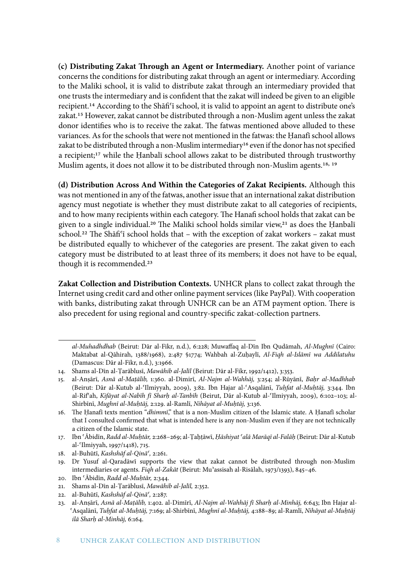**(c) Distributing Zakat Through an Agent or Intermediary.** Another point of variance concerns the conditions for distributing zakat through an agent or intermediary. According to the Maliki school, it is valid to distribute zakat through an intermediary provided that one trusts the intermediary and is confident that the zakat will indeed be given to an eligible recipient.<sup>14</sup> According to the Shāfi<sup>c</sup>ī school, it is valid to appoint an agent to distribute one's zakat.15 However, zakat cannot be distributed through a non-Muslim agent unless the zakat donor identifies who is to receive the zakat. The fatwas mentioned above alluded to these variances. As for the schools that were not mentioned in the fatwas: the Ḥanafī school allows zakat to be distributed through a non-Muslim intermediary<sup>16</sup> even if the donor has not specified a recipient;<sup>17</sup> while the Hanbalī school allows zakat to be distributed through trustworthy Muslim agents, it does not allow it to be distributed through non-Muslim agents.<sup>18, 19</sup>

**(d) Distribution Across And Within the Categories of Zakat Recipients.** Although this was not mentioned in any of the fatwas, another issue that an international zakat distribution agency must negotiate is whether they must distribute zakat to all categories of recipients, and to how many recipients within each category. The Hanafi school holds that zakat can be given to a single individual.<sup>20</sup> The Maliki school holds similar view,<sup>21</sup> as does the Hanbalī school.<sup>22</sup> The Shāfi'ī school holds that – with the exception of zakat workers – zakat must be distributed equally to whichever of the categories are present. The zakat given to each category must be distributed to at least three of its members; it does not have to be equal, though it is recommended.<sup>23</sup>

**Zakat Collection and Distribution Contexts.** UNHCR plans to collect zakat through the Internet using credit card and other online payment services (like PayPal). With cooperation with banks, distributing zakat through UNHCR can be an ATM payment option. There is also precedent for using regional and country-specific zakat-collection partners.

*al-Muhadhdhab* (Beirut: Dār al-Fikr, n.d.), 6:228; Muwaffaq al-Dīn Ibn Qudāmah, *Al-Mughnī* (Cairo: Maktabat al-Qāhirah, 1388/1968), 2:487 §1774; Wahbah al-Zuḥaylī, *Al-Fiqh al-Islāmī wa Addilatuhu*  (Damascus: Dār al-Fikr, n.d.), 3:1966.

<sup>14.</sup> Shams al-Dīn al-Ṭarāblusī, *Mawāhib al-Jalīl* (Beirut: Dār al-Fikr, 1992/1412), 3:353.

<sup>15.</sup> al-Anṣārī, *Asnā al-Maṭālib,* 1:360. al-Dimirī, *Al-Najm al-Wahhāj,* 3:254; al-Rūyānī, *Baḥr al-Madhhab*  (Beirut: Dār al-Kutub al-ʿIlmiyyah, 2009), 3:82. Ibn Hajar al-ʿAsqalānī, *Tuḥfat al-Muḥtāj,* 3:344. Ibn al-Rifʿah, *Kifāyat al-Nabīh fī Sharḥ al-Tanbīh* (Beirut, Dār al-Kutub al-ʿIlmiyyah, 2009), 6:102–103; al-Shirbīnī, *Mughnī al-Muḥtāj,* 2:129. al-Ramlī, *Nihāyat al-Muḥtāj,* 3:136.

<sup>16.</sup> The Ḥanafī texts mention "*dhimmī*," that is a non-Muslim citizen of the Islamic state. A Ḥanafī scholar that I consulted confirmed that what is intended here is any non-Muslim even if they are not technically a citizen of the Islamic state.

<sup>17.</sup> Ibn ʿĀbidīn, *Radd al-Muḥtār,* 2:268–269; al-Ṭaḥṭāwī, *Ḥāshiyat ʿalā Marāqī al-Falāḥ* (Beirut: Dār al-Kutub al-ʿIlmiyyah, 1997/1418), 715.

<sup>18.</sup> al-Buhūtī, *Kashshāf al-Qināʿ,* 2:261.

<sup>19.</sup> Dr Yusuf al-Qaradāwī supports the view that zakat cannot be distributed through non-Muslim intermediaries or agents. *Fiqh al-Zakāt* (Beirut: Muʾassisah al-Risālah, 1973/1393), 845–46.

<sup>20.</sup> Ibn ʿĀbidīn, *Radd al-Muḥtār,* 2:344.

<sup>21.</sup> Shams al-Dīn al-Ṭarāblusī, *Mawāhib al-Jalīl,* 2:352.

<sup>22.</sup> al-Buhūtī, *Kashshāf al-Qināʿ,* 2:287.

<sup>23.</sup> al-Anṣārī, *Asnā al-Maṭālib,* 1:402. al-Dimīrī, *Al-Najm al-Wahhāj fī Sharḥ al-Minhāj,* 6:643; Ibn Hajar al-ʿAsqalānī, *Tuḥfat al-Muḥtāj,* 7:169; al-Shirbīnī, *Mughnī al-Muḥtāj,* 4:188–89; al-Ramlī, *Nihāyat al-Muḥtāj ilā Sharḥ al-Minhāj,* 6:164.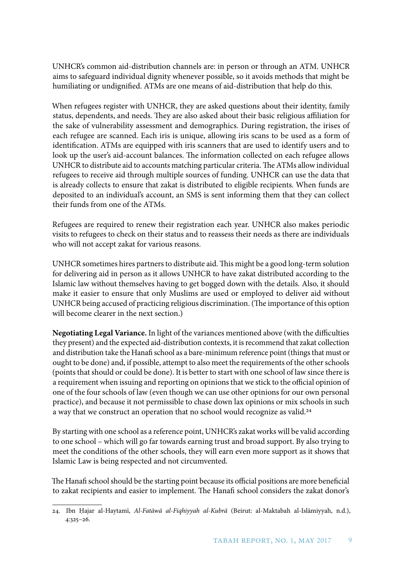UNHCR's common aid-distribution channels are: in person or through an ATM. UNHCR aims to safeguard individual dignity whenever possible, so it avoids methods that might be humiliating or undignified. ATMs are one means of aid-distribution that help do this.

When refugees register with UNHCR, they are asked questions about their identity, family status, dependents, and needs. They are also asked about their basic religious affiliation for the sake of vulnerability assessment and demographics. During registration, the irises of each refugee are scanned. Each iris is unique, allowing iris scans to be used as a form of identification. ATMs are equipped with iris scanners that are used to identify users and to look up the user's aid-account balances. The information collected on each refugee allows UNHCR to distribute aid to accounts matching particular criteria. The ATMs allow individual refugees to receive aid through multiple sources of funding. UNHCR can use the data that is already collects to ensure that zakat is distributed to eligible recipients. When funds are deposited to an individual's account, an SMS is sent informing them that they can collect their funds from one of the ATMs.

Refugees are required to renew their registration each year. UNHCR also makes periodic visits to refugees to check on their status and to reassess their needs as there are individuals who will not accept zakat for various reasons.

UNHCR sometimes hires partners to distribute aid. This might be a good long-term solution for delivering aid in person as it allows UNHCR to have zakat distributed according to the Islamic law without themselves having to get bogged down with the details. Also, it should make it easier to ensure that only Muslims are used or employed to deliver aid without UNHCR being accused of practicing religious discrimination. (The importance of this option will become clearer in the next section.)

**Negotiating Legal Variance.** In light of the variances mentioned above (with the difficulties they present) and the expected aid-distribution contexts, it is recommend that zakat collection and distribution take the Hanafi school as a bare-minimum reference point (things that must or ought to be done) and, if possible, attempt to also meet the requirements of the other schools (points that should or could be done). It is better to start with one school of law since there is a requirement when issuing and reporting on opinions that we stick to the official opinion of one of the four schools of law (even though we can use other opinions for our own personal practice), and because it not permissible to chase down lax opinions or mix schools in such a way that we construct an operation that no school would recognize as valid.<sup>24</sup>

By starting with one school as a reference point, UNHCR's zakat works will be valid according to one school – which will go far towards earning trust and broad support. By also trying to meet the conditions of the other schools, they will earn even more support as it shows that Islamic Law is being respected and not circumvented.

The Hanafi school should be the starting point because its official positions are more beneficial to zakat recipients and easier to implement. The Hanafi school considers the zakat donor's

<sup>24.</sup> Ibn Ḥajar al-Haytamī, *Al-Fatāwā al-Fiqhiyyah al-Kubrā* (Beirut: al-Maktabah al-Islāmiyyah, n.d.), 4:325–26.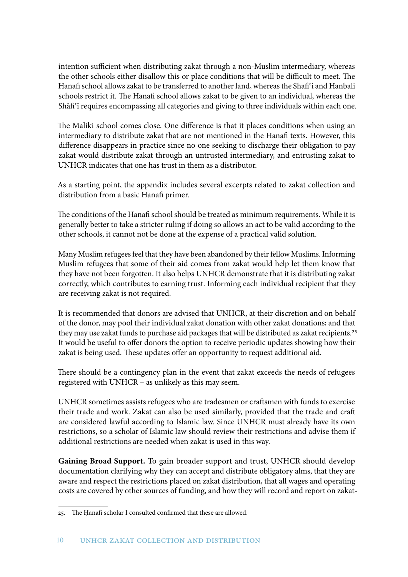intention sufficient when distributing zakat through a non-Muslim intermediary, whereas the other schools either disallow this or place conditions that will be difficult to meet. The Hanafi school allows zakat to be transferred to another land, whereas the Shafi'i and Hanbali schools restrict it. The Hanafi school allows zakat to be given to an individual, whereas the Shāfi'i requires encompassing all categories and giving to three individuals within each one.

The Maliki school comes close. One difference is that it places conditions when using an intermediary to distribute zakat that are not mentioned in the Hanafi texts. However, this difference disappears in practice since no one seeking to discharge their obligation to pay zakat would distribute zakat through an untrusted intermediary, and entrusting zakat to UNHCR indicates that one has trust in them as a distributor.

As a starting point, the appendix includes several excerpts related to zakat collection and distribution from a basic Hanafi primer.

The conditions of the Hanafi school should be treated as minimum requirements. While it is generally better to take a stricter ruling if doing so allows an act to be valid according to the other schools, it cannot not be done at the expense of a practical valid solution.

Many Muslim refugees feel that they have been abandoned by their fellow Muslims. Informing Muslim refugees that some of their aid comes from zakat would help let them know that they have not been forgotten. It also helps UNHCR demonstrate that it is distributing zakat correctly, which contributes to earning trust. Informing each individual recipient that they are receiving zakat is not required.

It is recommended that donors are advised that UNHCR, at their discretion and on behalf of the donor, may pool their individual zakat donation with other zakat donations; and that they may use zakat funds to purchase aid packages that will be distributed as zakat recipients.<sup>25</sup> It would be useful to offer donors the option to receive periodic updates showing how their zakat is being used. These updates offer an opportunity to request additional aid.

There should be a contingency plan in the event that zakat exceeds the needs of refugees registered with UNHCR – as unlikely as this may seem.

UNHCR sometimes assists refugees who are tradesmen or craftsmen with funds to exercise their trade and work. Zakat can also be used similarly, provided that the trade and craft are considered lawful according to Islamic law. Since UNHCR must already have its own restrictions, so a scholar of Islamic law should review their restrictions and advise them if additional restrictions are needed when zakat is used in this way.

**Gaining Broad Support.** To gain broader support and trust, UNHCR should develop documentation clarifying why they can accept and distribute obligatory alms, that they are aware and respect the restrictions placed on zakat distribution, that all wages and operating costs are covered by other sources of funding, and how they will record and report on zakat-

<sup>25.</sup> The Ḥanafī scholar I consulted confirmed that these are allowed.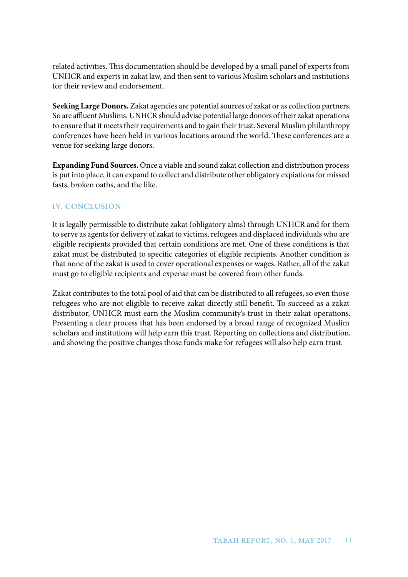related activities. This documentation should be developed by a small panel of experts from UNHCR and experts in zakat law, and then sent to various Muslim scholars and institutions for their review and endorsement.

**Seeking Large Donors.** Zakat agencies are potential sources of zakat or as collection partners. So are affluent Muslims. UNHCR should advise potential large donors of their zakat operations to ensure that it meets their requirements and to gain their trust. Several Muslim philanthropy conferences have been held in various locations around the world. These conferences are a venue for seeking large donors.

**Expanding Fund Sources.** Once a viable and sound zakat collection and distribution process is put into place, it can expand to collect and distribute other obligatory expiations for missed fasts, broken oaths, and the like.

#### IV. Conclusion

It is legally permissible to distribute zakat (obligatory alms) through UNHCR and for them to serve as agents for delivery of zakat to victims, refugees and displaced individuals who are eligible recipients provided that certain conditions are met. One of these conditions is that zakat must be distributed to specific categories of eligible recipients. Another condition is that none of the zakat is used to cover operational expenses or wages. Rather, all of the zakat must go to eligible recipients and expense must be covered from other funds.

Zakat contributes to the total pool of aid that can be distributed to all refugees, so even those refugees who are not eligible to receive zakat directly still benefit. To succeed as a zakat distributor, UNHCR must earn the Muslim community's trust in their zakat operations. Presenting a clear process that has been endorsed by a broad range of recognized Muslim scholars and institutions will help earn this trust. Reporting on collections and distribution, and showing the positive changes those funds make for refugees will also help earn trust.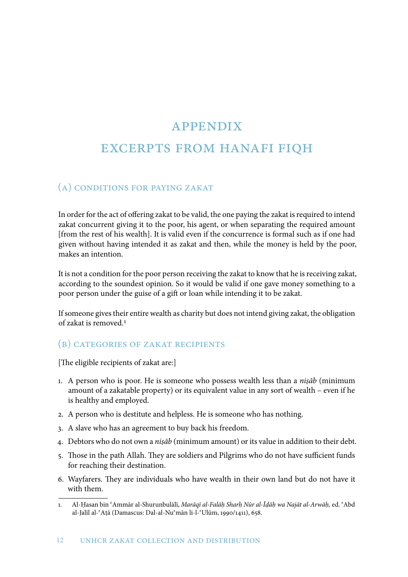## **APPENDIX**

## EXCERPTS FROM HANAFI FIOH

### (a) Conditions for Paying Zakat

In order for the act of offering zakat to be valid, the one paying the zakat is required to intend zakat concurrent giving it to the poor, his agent, or when separating the required amount [from the rest of his wealth]. It is valid even if the concurrence is formal such as if one had given without having intended it as zakat and then, while the money is held by the poor, makes an intention.

It is not a condition for the poor person receiving the zakat to know that he is receiving zakat, according to the soundest opinion. So it would be valid if one gave money something to a poor person under the guise of a gift or loan while intending it to be zakat.

If someone gives their entire wealth as charity but does not intend giving zakat, the obligation of zakat is removed.1

### (b) Categories of Zakat Recipients

[The eligible recipients of zakat are:]

- 1. A person who is poor. He is someone who possess wealth less than a *niṣāb* (minimum amount of a zakatable property) or its equivalent value in any sort of wealth – even if he is healthy and employed.
- 2. A person who is destitute and helpless. He is someone who has nothing.
- 3. A slave who has an agreement to buy back his freedom.
- 4. Debtors who do not own a *niṣāb* (minimum amount) or its value in addition to their debt.
- 5. Those in the path Allah. They are soldiers and Pilgrims who do not have sufficient funds for reaching their destination.
- 6. Wayfarers. They are individuals who have wealth in their own land but do not have it with them.

<sup>1.</sup> Al-Ḥasan bin ʿAmmār al-Shurunbulālī, *Marāqī al-Falāḥ Sharḥ Nūr al-Īḍāḥ wa Najāt al-Arwāḥ,* ed. ʿAbd al-Jalīl al-ʿAṭā (Damascus: Dal-al-Nuʿmān li-l-ʿUlūm, 1990/1411), 658.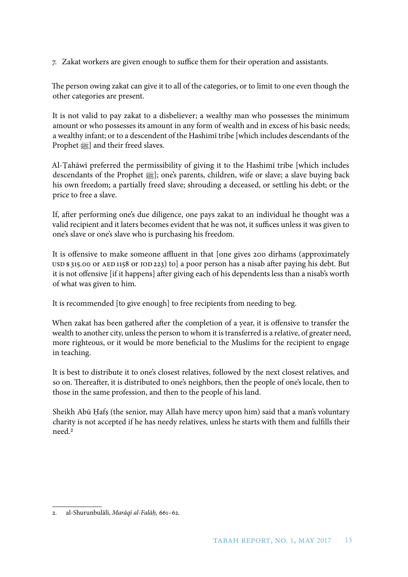7. Zakat workers are given enough to suffice them for their operation and assistants.

The person owing zakat can give it to all of the categories, or to limit to one even though the other categories are present.

It is not valid to pay zakat to a disbeliever; a wealthy man who possesses the minimum amount or who possesses its amount in any form of wealth and in excess of his basic needs; a wealthy infant; or to a descendent of the Hashimī tribe [which includes descendants of the Prophet صلى الله عليه وسلم [and their freed slaves.

Al-Ṭahāwī preferred the permissibility of giving it to the Hashimī tribe [which includes descendants of the Prophet  $\lfloor \frac{m}{m} \rfloor$ ; one's parents, children, wife or slave; a slave buying back his own freedom; a partially freed slave; shrouding a deceased, or settling his debt; or the price to free a slave.

If, after performing one's due diligence, one pays zakat to an individual he thought was a valid recipient and it laters becomes evident that he was not, it suffices unless it was given to one's slave or one's slave who is purchasing his freedom.

It is offensive to make someone affluent in that [one gives 200 dirhams (approximately USD\$ 315.00 or AED1158 or JOD223) to] a poor person has a nisab after paying his debt. But it is not offensive [if it happens] after giving each of his dependents less than a nisab's worth of what was given to him.

It is recommended [to give enough] to free recipients from needing to beg.

When zakat has been gathered after the completion of a year, it is offensive to transfer the wealth to another city, unless the person to whom it is transferred is a relative, of greater need, more righteous, or it would be more beneficial to the Muslims for the recipient to engage in teaching.

It is best to distribute it to one's closest relatives, followed by the next closest relatives, and so on. Thereafter, it is distributed to one's neighbors, then the people of one's locale, then to those in the same profession, and then to the people of his land.

Sheikh Abū Ḥafṣ (the senior, may Allah have mercy upon him) said that a man's voluntary charity is not accepted if he has needy relatives, unless he starts with them and fulfills their need.2

<sup>2.</sup> al-Shurunbulālī, *Marāqī al-Falāḥ,* 661–62.